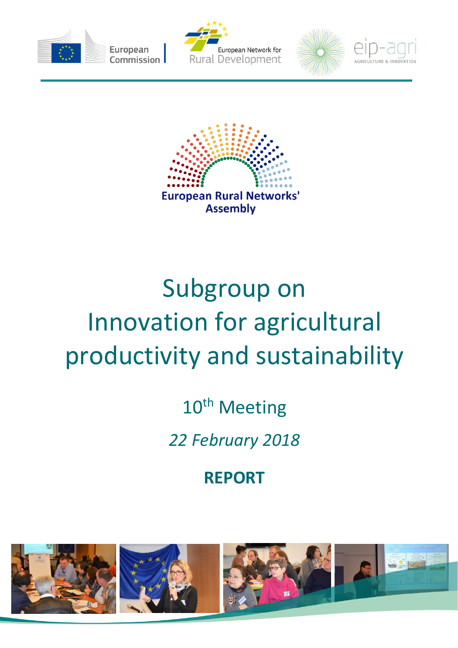









# Subgroup on Innovation for agricultural productivity and sustainability

10<sup>th</sup> Meeting

*22 February 2018*

**REPORT**

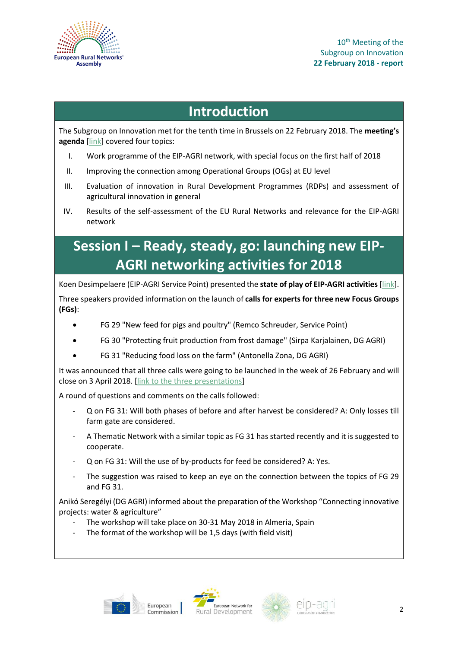

10<sup>th</sup> Meeting of the Subgroup on Innovation **22 February 2018 - report**

### **Introduction**

The Subgroup on Innovation met for the tenth time in Brussels on 22 February 2018. The **meeting's agenda** [\[link\]](https://ec.europa.eu/eip/agriculture/sites/agri-eip/files/field_event_attachments/sgi10_final_agenda.pdf) covered four topics:

- I. Work programme of the EIP-AGRI network, with special focus on the first half of 2018
- II. Improving the connection among Operational Groups (OGs) at EU level
- III. Evaluation of innovation in Rural Development Programmes (RDPs) and assessment of agricultural innovation in general
- IV. Results of the self-assessment of the EU Rural Networks and relevance for the EIP-AGRI network

## **Session I – Ready, steady, go: launching new EIP-AGRI networking activities for 2018**

Koen Desimpelaere (EIP-AGRI Service Point) presented the **state of play of EIP-AGRI activities** [\[link\]](https://ec.europa.eu/eip/agriculture/sites/agri-eip/files/field_event_attachments/sgi10_pres1_eip-agri_priorities_for_2018_desimpelaere.pdf).

Three speakers provided information on the launch of **calls for experts for three new Focus Groups (FGs)**:

- FG 29 "New feed for pigs and poultry" (Remco Schreuder, Service Point)
- FG 30 "Protecting fruit production from frost damage" (Sirpa Karjalainen, DG AGRI)
- FG 31 "Reducing food loss on the farm" (Antonella Zona, DG AGRI)

It was announced that all three calls were going to be launched in the week of 26 February and will close on 3 April 2018. [\[link to the three presentations\]](https://ec.europa.eu/eip/agriculture/sites/agri-eip/files/field_event_attachments/sgi10_pres2_new_focus_groups_launch_call_for_experts_schreuder_karjalainen_zona.pdf)

A round of questions and comments on the calls followed:

- Q on FG 31: Will both phases of before and after harvest be considered? A: Only losses till farm gate are considered.
- A Thematic Network with a similar topic as FG 31 has started recently and it is suggested to cooperate.
- Q on FG 31: Will the use of by-products for feed be considered? A: Yes.
- The suggestion was raised to keep an eye on the connection between the topics of FG 29 and FG 31.

Anikó Seregélyi (DG AGRI) informed about the preparation of the Workshop "Connecting innovative projects: water & agriculture"

- The workshop will take place on 30-31 May 2018 in Almeria, Spain
- The format of the workshop will be 1,5 days (with field visit)





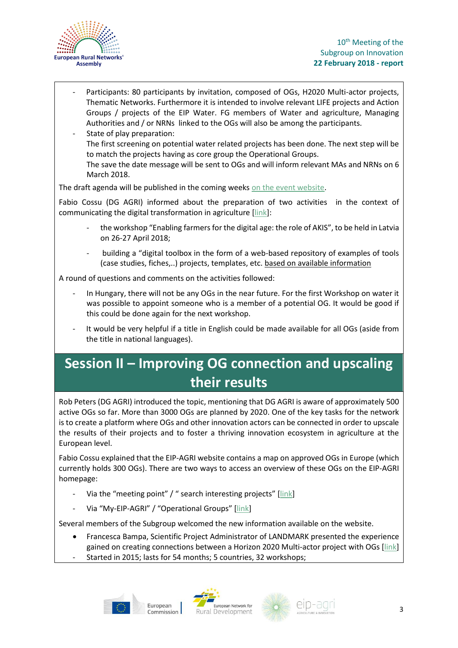

- Participants: 80 participants by invitation, composed of OGs, H2020 Multi-actor projects, Thematic Networks. Furthermore it is intended to involve relevant LIFE projects and Action Groups / projects of the EIP Water. FG members of Water and agriculture, Managing Authorities and / or NRNs linked to the OGs will also be among the participants.
- State of play preparation: The first screening on potential water related projects has been done. The next step will be to match the projects having as core group the Operational Groups. The save the date message will be sent to OGs and will inform relevant MAs and NRNs on 6 March 2018.

The draft agenda will be published in the coming weeks [on the event website.](https://ec.europa.eu/eip/agriculture/event/eip-agri-workshop-connecting-innovative-projects)

Fabio Cossu (DG AGRI) informed about the preparation of two activities in the context of communicating the digital transformation in agriculture [\[link\]](https://ec.europa.eu/eip/agriculture/sites/agri-eip/files/field_event_attachments/sgi10_pres3_communicating_digital_transformation_in_agriculture_cossu.pdf):

- the workshop "Enabling farmers for the digital age: the role of AKIS", to be held in Latvia on 26-27 April 2018;
- building a "digital toolbox in the form of a web-based repository of examples of tools (case studies, fiches,..) projects, templates, etc. based on available information

A round of questions and comments on the activities followed:

- In Hungary, there will not be any OGs in the near future. For the first Workshop on water it was possible to appoint someone who is a member of a potential OG. It would be good if this could be done again for the next workshop.
- It would be very helpful if a title in English could be made available for all OGs (aside from the title in national languages).

## **Session II – Improving OG connection and upscaling their results**

Rob Peters (DG AGRI) introduced the topic, mentioning that DG AGRI is aware of approximately 500 active OGs so far. More than 3000 OGs are planned by 2020. One of the key tasks for the network is to create a platform where OGs and other innovation actors can be connected in order to upscale the results of their projects and to foster a thriving innovation ecosystem in agriculture at the European level.

Fabio Cossu explained that the EIP-AGRI website contains a map on approved OGs in Europe (which currently holds 300 OGs). There are two ways to access an overview of these OGs on the EIP-AGRI homepage:

- Via the "meeting point" / " search interesting projects" [[link\]](https://ec.europa.eu/eip/agriculture/en/find-connect/projects?title=&field_proj_funding_source_list=0&search_api_views_fulltext=)
- Via "My-EIP-AGRI" / "Operational Groups" [\[link\]](https://ec.europa.eu/eip/agriculture/en/my-eip-agri/operational-groups)

Several members of the Subgroup welcomed the new information available on the website.

- Francesca Bampa, Scientific Project Administrator of LANDMARK presented the experience gained on creating connections between a Horizon 2020 Multi-actor project with OGs [\[link\]](https://ec.europa.eu/eip/agriculture/sites/agri-eip/files/field_event_attachments/sgi10_pres5_landmark_teams_up_with_eip-agri_operational_groups_bampa.pdf)
- Started in 2015; lasts for 54 months; 5 countries, 32 workshops;





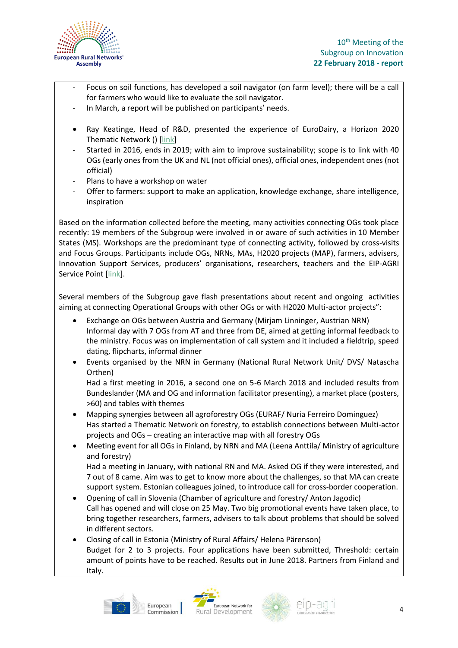

- Focus on soil functions, has developed a soil navigator (on farm level); there will be a call for farmers who would like to evaluate the soil navigator.
- In March, a report will be published on participants' needs.
- Ray Keatinge, Head of R&D, presented the experience of EuroDairy, a Horizon 2020 Thematic Network () [\[link\]](https://ec.europa.eu/eip/agriculture/sites/agri-eip/files/field_event_attachments/sgi10_pres6_the_eurodairy_thematic_network_keatinge.pdf)
- Started in 2016, ends in 2019; with aim to improve sustainability; scope is to link with 40 OGs (early ones from the UK and NL (not official ones), official ones, independent ones (not official)
- Plans to have a workshop on water
- Offer to farmers: support to make an application, knowledge exchange, share intelligence, inspiration

Based on the information collected before the meeting, many activities connecting OGs took place recently: 19 members of the Subgroup were involved in or aware of such activities in 10 Member States (MS). Workshops are the predominant type of connecting activity, followed by cross-visits and Focus Groups. Participants include OGs, NRNs, MAs, H2020 projects (MAP), farmers, advisers, Innovation Support Services, producers' organisations, researchers, teachers and the EIP-AGRI Service Point [\[link\]](https://ec.europa.eu/eip/agriculture/sites/agri-eip/files/field_event_attachments/sgi10_pres4_introduction_og_connection_peters.pdf).

Several members of the Subgroup gave flash presentations about recent and ongoing activities aiming at connecting Operational Groups with other OGs or with H2020 Multi-actor projects":

- Exchange on OGs between Austria and Germany (Mirjam Linninger, Austrian NRN) Informal day with 7 OGs from AT and three from DE, aimed at getting informal feedback to the ministry. Focus was on implementation of call system and it included a fieldtrip, speed dating, flipcharts, informal dinner
- Events organised by the NRN in Germany (National Rural Network Unit/ DVS/ Natascha Orthen)

Had a first meeting in 2016, a second one on 5-6 March 2018 and included results from Bundeslander (MA and OG and information facilitator presenting), a market place (posters, >60) and tables with themes

- Mapping synergies between all agroforestry OGs (EURAF/ Nuria Ferreiro Dominguez) Has started a Thematic Network on forestry, to establish connections between Multi-actor projects and OGs – creating an interactive map with all forestry OGs
- Meeting event for all OGs in Finland, by NRN and MA (Leena Anttila/ Ministry of agriculture and forestry)

Had a meeting in January, with national RN and MA. Asked OG if they were interested, and 7 out of 8 came. Aim was to get to know more about the challenges, so that MA can create support system. Estonian colleagues joined, to introduce call for cross-border cooperation.

- Opening of call in Slovenia (Chamber of agriculture and forestry/ Anton Jagodic) Call has opened and will close on 25 May. Two big promotional events have taken place, to bring together researchers, farmers, advisers to talk about problems that should be solved in different sectors.
- Closing of call in Estonia (Ministry of Rural Affairs/ Helena Pärenson) Budget for 2 to 3 projects. Four applications have been submitted, Threshold: certain amount of points have to be reached. Results out in June 2018. Partners from Finland and Italy.





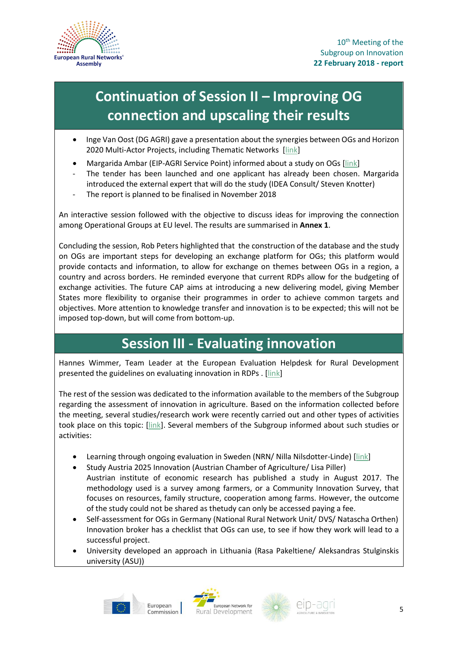

## **Continuation of Session II – Improving OG connection and upscaling their results**

- Inge Van Oost (DG AGRI) gave a presentation about the synergies between OGs and Horizon 2020 Multi-Actor Projects, including Thematic Networks [\[link\]](https://ec.europa.eu/eip/agriculture/sites/agri-eip/files/field_event_attachments/sgi10_pres7_improving_og_connections_van_oost.pdf)
- Margarida Ambar (EIP-AGRI Service Point) informed about a study on OGs [\[link\]](https://ec.europa.eu/eip/agriculture/sites/agri-eip/files/field_event_attachments/sgi10_pres8_og_assessment_2018_ambar.pdf)
- The tender has been launched and one applicant has already been chosen. Margarida introduced the external expert that will do the study (IDEA Consult/ Steven Knotter)
- The report is planned to be finalised in November 2018

An interactive session followed with the objective to discuss ideas for improving the connection among Operational Groups at EU level. The results are summarised in **Annex 1**.

Concluding the session, Rob Peters highlighted that the construction of the database and the study on OGs are important steps for developing an exchange platform for OGs; this platform would provide contacts and information, to allow for exchange on themes between OGs in a region, a country and across borders. He reminded everyone that current RDPs allow for the budgeting of exchange activities. The future CAP aims at introducing a new delivering model, giving Member States more flexibility to organise their programmes in order to achieve common targets and objectives. More attention to knowledge transfer and innovation is to be expected; this will not be imposed top-down, but will come from bottom-up.

#### **Session III - Evaluating innovation**

Hannes Wimmer, Team Leader at the European Evaluation Helpdesk for Rural Development presented the guidelines on evaluating innovation in RDPs . [\[link\]](https://ec.europa.eu/eip/agriculture/sites/agri-eip/files/field_event_attachments/sgi10_pres9_evaluation_of_innovation_in_rdps_wimmer.pdf)

The rest of the session was dedicated to the information available to the members of the Subgroup regarding the assessment of innovation in agriculture. Based on the information collected before the meeting, several studies/research work were recently carried out and other types of activities took place on this topic: [\[link\]](https://ec.europa.eu/eip/agriculture/sites/agri-eip/files/field_event_attachments/sgi10_pres10_introduction_assessing_innovation_zona.pdf). Several members of the Subgroup informed about such studies or activities:

- Learning through ongoing evaluation in Sweden (NRN/ Nilla Nilsdotter-Linde) [\[link\]](https://ec.europa.eu/eip/agriculture/sites/agri-eip/files/field_event_attachments/sgi10_pres11_eip-agri_evaluation_in_sweden_nilsdotter.pdf)
- Study Austria 2025 Innovation (Austrian Chamber of Agriculture/ Lisa Piller) Austrian institute of economic research has published a study in August 2017. The
- methodology used is a survey among farmers, or a Community Innovation Survey, that focuses on resources, family structure, cooperation among farms. However, the outcome of the study could not be shared as thetudy can only be accessed paying a fee.
- Self-assessment for OGs in Germany (National Rural Network Unit/ DVS/ Natascha Orthen) Innovation broker has a checklist that OGs can use, to see if how they work will lead to a successful project.
- University developed an approach in Lithuania (Rasa Pakeltiene/ Aleksandras Stulginskis university (ASU))





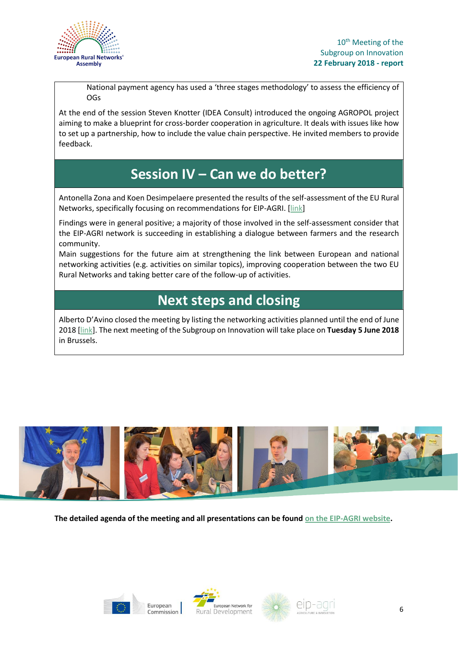

National payment agency has used a 'three stages methodology' to assess the efficiency of OGs

At the end of the session Steven Knotter (IDEA Consult) introduced the ongoing AGROPOL project aiming to make a blueprint for cross-border cooperation in agriculture. It deals with issues like how to set up a partnership, how to include the value chain perspective. He invited members to provide feedback.

#### **Session IV – Can we do better?**

Antonella Zona and Koen Desimpelaere presented the results of the self-assessment of the EU Rural Networks, specifically focusing on recommendations for EIP-AGRI. [\[link\]](https://ec.europa.eu/eip/agriculture/sites/agri-eip/files/field_event_attachments/sgi10_pres12_results_self-assessment_eu_rural_networks_zona_desimpelaere_ambar.pdf)

Findings were in general positive; a majority of those involved in the self-assessment consider that the EIP-AGRI network is succeeding in establishing a dialogue between farmers and the research community.

Main suggestions for the future aim at strengthening the link between European and national networking activities (e.g. activities on similar topics), improving cooperation between the two EU Rural Networks and taking better care of the follow-up of activities.

#### **Next steps and closing**

Alberto D'Avino closed the meeting by listing the networking activities planned until the end of June 2018 [\[link\]](https://ec.europa.eu/eip/agriculture/sites/agri-eip/files/field_event_attachments/sgi10_pres13_network_activities_2018_davino.pdf). The next meeting of the Subgroup on Innovation will take place on **Tuesday 5 June 2018** in Brussels.



**The detailed agenda of the meeting and all presentations can be foun[d on the EIP-AGRI website.](https://ec.europa.eu/eip/agriculture/en/event/10th-meeting-permanent-subgroup-innovation)**







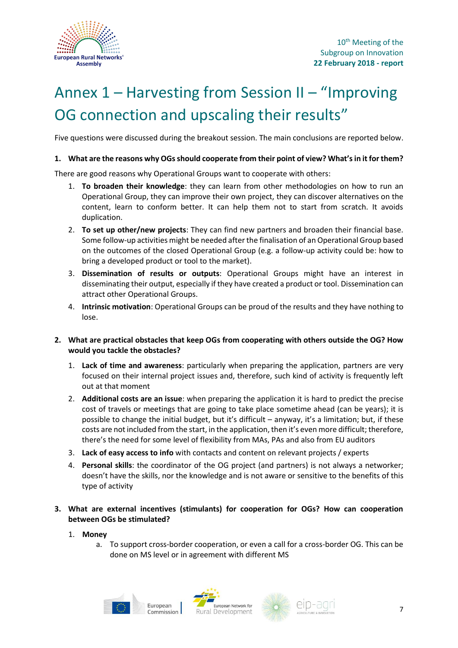

## Annex 1 – Harvesting from Session II – "Improving OG connection and upscaling their results"

Five questions were discussed during the breakout session. The main conclusions are reported below.

#### **1. What are the reasons why OGs should cooperate from their point of view? What's in it for them?**

There are good reasons why Operational Groups want to cooperate with others:

- 1. **To broaden their knowledge**: they can learn from other methodologies on how to run an Operational Group, they can improve their own project, they can discover alternatives on the content, learn to conform better. It can help them not to start from scratch. It avoids duplication.
- 2. **To set up other/new projects**: They can find new partners and broaden their financial base. Some follow-up activities might be needed after the finalisation of an Operational Group based on the outcomes of the closed Operational Group (e.g. a follow-up activity could be: how to bring a developed product or tool to the market).
- 3. **Dissemination of results or outputs**: Operational Groups might have an interest in disseminating their output, especially if they have created a product or tool. Dissemination can attract other Operational Groups.
- 4. **Intrinsic motivation**: Operational Groups can be proud of the results and they have nothing to lose.
- **2. What are practical obstacles that keep OGs from cooperating with others outside the OG? How would you tackle the obstacles?**
	- 1. **Lack of time and awareness**: particularly when preparing the application, partners are very focused on their internal project issues and, therefore, such kind of activity is frequently left out at that moment
	- 2. **Additional costs are an issue**: when preparing the application it is hard to predict the precise cost of travels or meetings that are going to take place sometime ahead (can be years); it is possible to change the initial budget, but it's difficult – anyway, it's a limitation; but, if these costs are not included from the start, in the application, then it's even more difficult; therefore, there's the need for some level of flexibility from MAs, PAs and also from EU auditors
	- 3. **Lack of easy access to info** with contacts and content on relevant projects / experts
	- 4. **Personal skills**: the coordinator of the OG project (and partners) is not always a networker; doesn't have the skills, nor the knowledge and is not aware or sensitive to the benefits of this type of activity

#### **3. What are external incentives (stimulants) for cooperation for OGs? How can cooperation between OGs be stimulated?**

- 1. **Money**
	- a. To support cross-border cooperation, or even a call for a cross-border OG. This can be done on MS level or in agreement with different MS



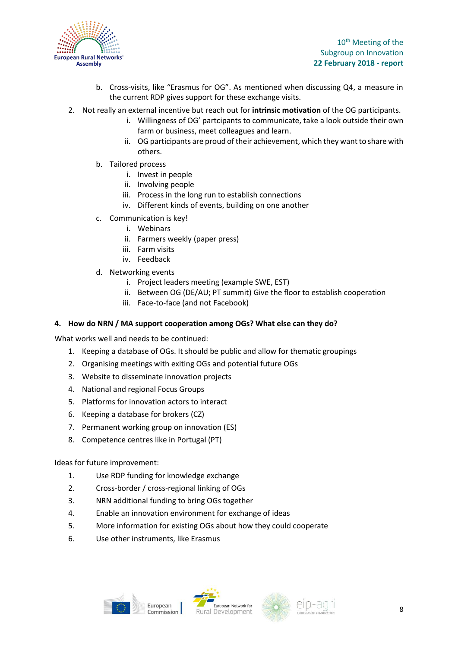

10<sup>th</sup> Meeting of the Subgroup on Innovation **22 February 2018 - report**

- b. Cross-visits, like "Erasmus for OG". As mentioned when discussing Q4, a measure in the current RDP gives support for these exchange visits.
- 2. Not really an external incentive but reach out for **intrinsic motivation** of the OG participants.
	- i. Willingness of OG' partcipants to communicate, take a look outside their own farm or business, meet colleagues and learn.
	- ii. OG participants are proud of their achievement, which they want to share with others.
	- b. Tailored process
		- i. Invest in people
		- ii. Involving people
		- iii. Process in the long run to establish connections
		- iv. Different kinds of events, building on one another
	- c. Communication is key!
		- i. Webinars
		- ii. Farmers weekly (paper press)
		- iii. Farm visits
		- iv. Feedback
	- d. Networking events
		- i. Project leaders meeting (example SWE, EST)
		- ii. Between OG (DE/AU; PT summit) Give the floor to establish cooperation
		- iii. Face-to-face (and not Facebook)

#### **4. How do NRN / MA support cooperation among OGs? What else can they do?**

What works well and needs to be continued:

- 1. Keeping a database of OGs. It should be public and allow for thematic groupings
- 2. Organising meetings with exiting OGs and potential future OGs
- 3. Website to disseminate innovation projects
- 4. National and regional Focus Groups
- 5. Platforms for innovation actors to interact
- 6. Keeping a database for brokers (CZ)
- 7. Permanent working group on innovation (ES)
- 8. Competence centres like in Portugal (PT)

#### Ideas for future improvement:

- 1. Use RDP funding for knowledge exchange
- 2. Cross-border / cross-regional linking of OGs
- 3. NRN additional funding to bring OGs together
- 4. Enable an innovation environment for exchange of ideas
- 5. More information for existing OGs about how they could cooperate
- 6. Use other instruments, like Erasmus